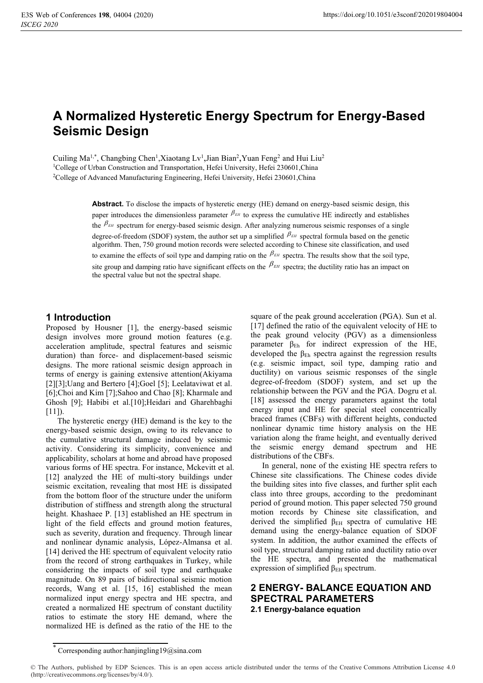# **A Normalized Hysteretic Energy Spectrum for Energy-Based Seismic Design**

Cuiling Ma<sup>1,\*</sup>, Changbing Chen<sup>1</sup>,Xiaotang Lv<sup>1</sup>,Jian Bian<sup>2</sup>,Yuan Feng<sup>2</sup> and Hui Liu<sup>2</sup><br><sup>1</sup>College of Urban Construction and Transportation, Hefei University, Hefei 230601 China <sup>1</sup>College of Urban Construction and Transportation, Hefei University, Hefei 230601, China <sup>2</sup>College of Advanced Manufacturing Engineering, Hefei University, Hefei 230601, China

> **Abstract.** To disclose the impacts of hysteretic energy (HE) demand on energy-based seismic design, this paper introduces the dimensionless parameter  $\beta_{EH}$  to express the cumulative HE indirectly and establishes the  $\beta_{EH}$  spectrum for energy-based seismic design. After analyzing numerous seismic responses of a single degree-of-freedom (SDOF) system, the author set up a simplified  $\beta_{EH}$  spectral formula based on the genetic algorithm. Then, 750 ground motion records were selected according to Chinese site classification, and used to examine the effects of soil type and damping ratio on the  $\beta_{EH}$  spectra. The results show that the soil type, site group and damping ratio have significant effects on the  $\beta_{EH}$  spectra; the ductility ratio has an impact on the spectral value but not the spectral shape.

### **1 Introduction**

Proposed by Housner [1], the energy-based seismic design involves more ground motion features (e.g. acceleration amplitude, spectral features and seismic duration) than force- and displacement-based seismic designs. The more rational seismic design approach in terms of energy is gaining extensive attention(Akiyama [2][3];Uang and Bertero [4];Goel [5]; Leelataviwat et al. [6];Choi and Kim [7];Sahoo and Chao [8]; Kharmale and Ghosh [9]; Habibi et al.[10];Heidari and Gharehbaghi  $[11]$ ).

The hysteretic energy (HE) demand is the key to the energy-based seismic design, owing to its relevance to the cumulative structural damage induced by seismic activity. Considering its simplicity, convenience and applicability, scholars at home and abroad have proposed various forms of HE spectra. For instance, Mckevitt et al. [12] analyzed the HE of multi-story buildings under seismic excitation, revealing that most HE is dissipated from the bottom floor of the structure under the uniform distribution of stiffness and strength along the structural height. Khashaee P. [13] established an HE spectrum in light of the field effects and ground motion features, such as severity, duration and frequency. Through linear and nonlinear dynamic analysis, López-Almansa et al. [14] derived the HE spectrum of equivalent velocity ratio from the record of strong earthquakes in Turkey, while considering the impacts of soil type and earthquake magnitude. On 89 pairs of bidirectional seismic motion records, Wang et al. [15, 16] established the mean normalized input energy spectra and HE spectra, and created a normalized HE spectrum of constant ductility ratios to estimate the story HE demand, where the normalized HE is defined as the ratio of the HE to the

square of the peak ground acceleration (PGA). Sun et al. [17] defined the ratio of the equivalent velocity of HE to the peak ground velocity (PGV) as a dimensionless parameter  $\beta_{Eh}$  for indirect expression of the HE, developed the  $\beta_{Eh}$  spectra against the regression results (e.g. seismic impact, soil type, damping ratio and ductility) on various seismic responses of the single degree-of-freedom (SDOF) system, and set up the relationship between the PGV and the PGA. Dogru et al. [18] assessed the energy parameters against the total energy input and HE for special steel concentrically braced frames (CBFs) with different heights, conducted nonlinear dynamic time history analysis on the HE variation along the frame height, and eventually derived the seismic energy demand spectrum and HE distributions of the CBFs.

In general, none of the existing HE spectra refers to Chinese site classifications. The Chinese codes divide the building sites into five classes, and further split each class into three groups, according to the predominant period of ground motion. This paper selected 750 ground motion records by Chinese site classification, and derived the simplified  $\beta_{EH}$  spectra of cumulative HE demand using the energy-balance equation of SDOF system. In addition, the author examined the effects of soil type, structural damping ratio and ductility ratio over the HE spectra, and presented the mathematical expression of simplified  $\beta$ <sub>EH</sub> spectrum.

## **2 ENERGY- BALANCE EQUATION AND SPECTRAL PARAMETERS 2.1 Energy-balance equation**

<sup>\*</sup> Corresponding author:hanjingling19@sina.com

<sup>©</sup> The Authors, published by EDP Sciences. This is an open access article distributed under the terms of the Creative Commons Attribution License 4.0 (http://creativecommons.org/licenses/by/4.0/).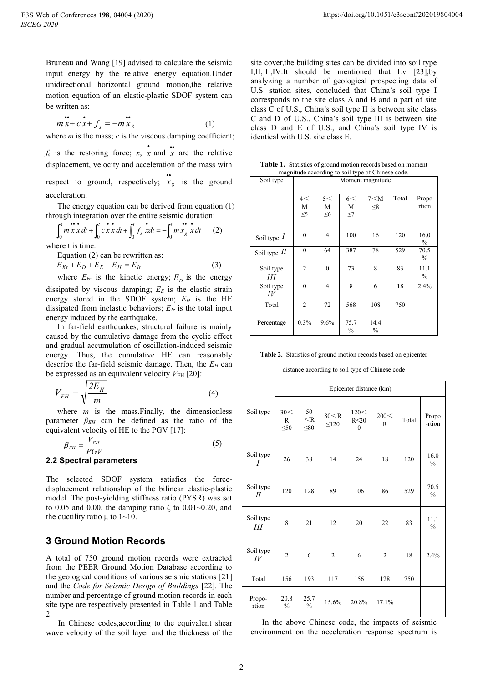Bruneau and Wang [19] advised to calculate the seismic input energy by the relative energy equation.Under unidirectional horizontal ground motion,the relative motion equation of an elastic-plastic SDOF system can be written as:

$$
\mathbf{m} \mathbf{x} + c \mathbf{x} + f_s = -m \mathbf{x}_g \tag{1}
$$

where  $m$  is the mass;  $c$  is the viscous damping coefficient;

 $f_s$  is the restoring force; *x*, *x* and *x* are the relative displacement, velocity and acceleration of the mass with respect to ground, respectively;  $\ddot{x}_g$  is the ground acceleration.

The energy equation can be derived from equation (1) through integration over the entire seismic duration:

$$
\int_0^t m x^2 dx + \int_0^t c x^2 dx + \int_0^t f_s^2 dx = -\int_0^t m x_g^2 dx \qquad (2)
$$

where t is time.

Equation (2) can be rewritten as:  $E_{Kr} + E_D + E_E + E_H = E_h$  (3)

where  $E_{kr}$  is the kinetic energy;  $E_p$  is the energy

dissipated by viscous damping;  $E<sub>E</sub>$  is the elastic strain energy stored in the SDOF system;  $E_H$  is the HE dissipated from inelastic behaviors;  $E_{Ir}$  is the total input energy induced by the earthquake.

In far-field earthquakes, structural failure is mainly caused by the cumulative damage from the cyclic effect and gradual accumulation of oscillation-induced seismic energy. Thus, the cumulative HE can reasonably describe the far-field seismic damage. Then, the *EH* can be expressed as an equivalent velocity  $V_{\text{EH}}$  [20]:

$$
V_{EH} = \sqrt{\frac{2E_H}{m}}
$$
 (4)

where *m* is the mass. Finally, the dimensionless parameter  $\beta_{EH}$  can be defined as the ratio of the equivalent velocity of HE to the PGV [17]:

$$
\beta_{EH} = \frac{V_{EH}}{PGV} \tag{5}
$$

#### **2.2 Spectral parameters**

The selected SDOF system satisfies the forcedisplacement relationship of the bilinear elastic-plastic model. The post-yielding stiffness ratio (PYSR) was set to 0.05 and 0.00, the damping ratio  $\zeta$  to 0.01~0.20, and the ductility ratio  $\mu$  to 1~10.

# **3 Ground Motion Records**

A total of 750 ground motion records were extracted from the PEER Ground Motion Database according to the geological conditions of various seismic stations [21] and the *Code for Seismic Design of Buildings* [22]. The number and percentage of ground motion records in each site type are respectively presented in Table 1 and Table 2.

In Chinese codes,according to the equivalent shear wave velocity of the soil layer and the thickness of the

site cover,the building sites can be divided into soil type I,Ⅱ,Ⅲ,Ⅳ.It should be mentioned that Lv [23],by analyzing a number of geological prospecting data of U.S. station sites, concluded that China's soil type I corresponds to the site class A and B and a part of site class C of U.S., China's soil type II is between site class C and D of U.S., China's soil type III is between site class D and E of U.S., and China's soil type IV is identical with U.S. site class E.

| magnitude according to soil type of Chinese code. | <b>Table 1.</b> Statistics of ground motion records based on moment |
|---------------------------------------------------|---------------------------------------------------------------------|
|                                                   |                                                                     |

| Soil type       | Moment magnitude |                |                       |                       |       |                       |  |
|-----------------|------------------|----------------|-----------------------|-----------------------|-------|-----------------------|--|
|                 | 4<<br>M          | 5<<br>M        | 6<<br>M               | $7<$ M<br>$\leq 8$    | Total | Propo<br>rtion        |  |
|                 | $\leq 5$         | $\leq 6$       | $\leq$ 7              |                       |       |                       |  |
| Soil type $I$   | $\theta$         | $\overline{4}$ | 100                   | 16                    | 120   | 16.0<br>$\frac{0}{0}$ |  |
| Soil type $II$  | $\theta$         | 64             | 387                   | 78                    | 529   | 70.5<br>$\frac{0}{0}$ |  |
| Soil type<br>Ш  | $\overline{2}$   | $\mathbf{0}$   | 73                    | 8                     | 83    | 11.1<br>$\%$          |  |
| Soil type<br>IV | $\theta$         | $\overline{4}$ | 8                     | 6                     | 18    | 2.4%                  |  |
| Total           | 2                | 72             | 568                   | 108                   | 750   |                       |  |
| Percentage      | $0.3\%$          | 9.6%           | 75.7<br>$\frac{0}{0}$ | 14.4<br>$\frac{0}{0}$ |       |                       |  |

| <b>Table 2.</b> Statistics of ground motion records based on epicenter |  |  |  |
|------------------------------------------------------------------------|--|--|--|
|                                                                        |  |  |  |

distance according to soil type of Chinese code

|                 | Epicenter distance (km) |                          |                      |                                 |                |       |                       |
|-----------------|-------------------------|--------------------------|----------------------|---------------------------------|----------------|-------|-----------------------|
| Soil type       | 30<<br>R<br>$\leq 50$   | 50<br>$<$ R<br>$\leq 80$ | 80 < R<br>$\leq 120$ | 120<<br>$R \leq 20$<br>$\theta$ | 200 <<br>R     | Total | Propo<br>-rtion       |
| Soil type<br>I  | 26                      | 38                       | 14                   | 24                              | 18             | 120   | 16.0<br>$\frac{0}{0}$ |
| Soil type<br>II | 120                     | 128                      | 89                   | 106                             | 86             | 529   | 70.5<br>$\frac{0}{0}$ |
| Soil type<br>Ш  | 8                       | 21                       | 12                   | 20                              | 22             | 83    | 11.1<br>$\frac{0}{0}$ |
| Soil type<br>IV | $\overline{c}$          | 6                        | $\overline{2}$       | 6                               | $\overline{2}$ | 18    | 2.4%                  |
| Total           | 156                     | 193                      | 117                  | 156                             | 128            | 750   |                       |
| Propo-<br>rtion | 20.8<br>$\frac{0}{0}$   | 25.7<br>$\frac{0}{0}$    | 15.6%                | 20.8%                           | 17.1%          |       |                       |

In the above Chinese code, the impacts of seismic environment on the acceleration response spectrum is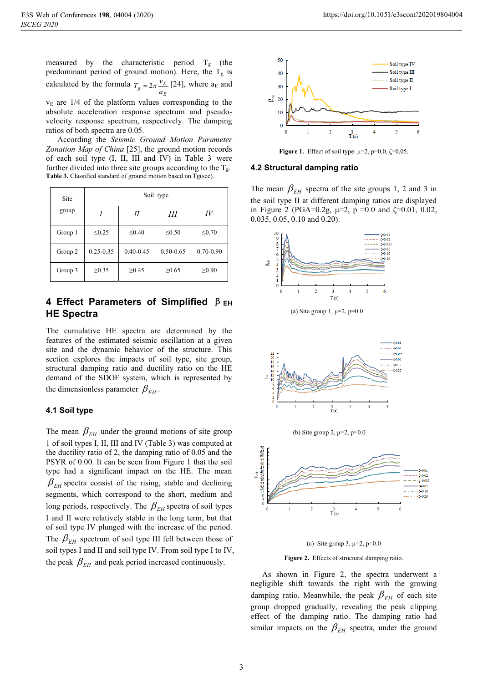$v<sub>E</sub>$  are 1/4 of the platform values corresponding to the absolute acceleration response spectrum and pseudovelocity response spectrum, respectively. The damping ratios of both spectra are 0.05.

According the *Seismic Ground Motion Parameter Zonation Map of China* [25], the ground motion records of each soil type (I, II, III and IV) in Table 3 were further divided into three site groups according to the  $T_{\varphi}$ . **Table 3.** Classified standard of ground motion based on Tg(sec).

| Site    | Soil type     |               |               |               |  |  |  |  |
|---------|---------------|---------------|---------------|---------------|--|--|--|--|
| group   |               | Н             | Ш             | IV            |  |  |  |  |
| Group 1 | $\leq 0.25$   | $\leq 0.40$   | $\leq 0.50$   | $\leq 0.70$   |  |  |  |  |
| Group 2 | $0.25 - 0.35$ | $0.40 - 0.45$ | $0.50 - 0.65$ | $0.70 - 0.90$ |  |  |  |  |
| Group 3 | $\geq 0.35$   | $\geq 0.45$   | $\geq 0.65$   | $\geq 0.90$   |  |  |  |  |

# **4 Effect Parameters of Simplified**  $\beta$  **EH HE Spectra**

The cumulative HE spectra are determined by the features of the estimated seismic oscillation at a given site and the dynamic behavior of the structure. This section explores the impacts of soil type, site group, structural damping ratio and ductility ratio on the HE demand of the SDOF system, which is represented by the dimensionless parameter  $\beta_{EH}$ .

#### **4.1 Soil type**

The mean  $\beta_{EH}$  under the ground motions of site group 1 of soil types I, II, III and IV (Table 3) was computed at the ductility ratio of 2, the damping ratio of 0.05 and the PSYR of 0.00. It can be seen from Figure 1 that the soil type had a significant impact on the HE. The mean  $\beta_{EH}$  spectra consist of the rising, stable and declining segments, which correspond to the short, medium and long periods, respectively. The  $\beta_{EH}$  spectra of soil types I and II were relatively stable in the long term, but that of soil type IV plunged with the increase of the period. The  $\beta_{EH}$  spectrum of soil type III fell between those of soil types I and II and soil type IV. From soil type I to IV, the peak  $\beta_{EH}$  and peak period increased continuously.



**Figure 1.** Effect of soil type:  $\mu=2$ ,  $p=0.0$ ,  $\zeta=0.05$ .

#### **4.2 Structural damping ratio**

The mean  $\beta_{EH}$  spectra of the site groups 1, 2 and 3 in the soil type II at different damping ratios are displayed in Figure 2 (PGA=0.2g,  $\mu=2$ ,  $p = 0.0$  and  $\zeta=0.01$ , 0.02, 0.035, 0.05, 0.10 and 0.20).



(a) Site group 1,  $\mu=2$ ,  $p=0.0$ 





 $\frac{3}{T(s)}$ 

**Figure 2.** Effects of structural damping ratio.

As shown in Figure 2, the spectra underwent a negligible shift towards the right with the growing damping ratio. Meanwhile, the peak  $\beta_{EH}$  of each site group dropped gradually, revealing the peak clipping effect of the damping ratio. The damping ratio had similar impacts on the  $\beta_{EH}$  spectra, under the ground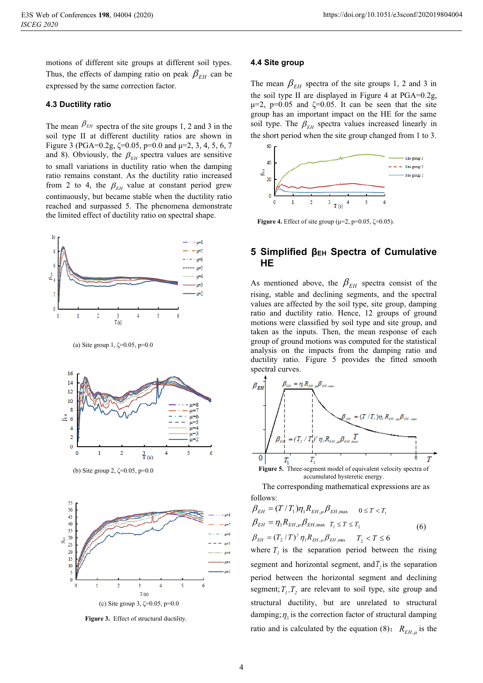motions of different site groups at different soil types. Thus, the effects of damping ratio on peak  $\beta_{EH}$  can be expressed by the same correction factor.

#### **4.3 Ductility ratio**

The mean  $\beta_{EH}$  spectra of the site groups 1, 2 and 3 in the soil type II at different ductility ratios are shown in Figure 3 (PGA=0.2g,  $\zeta$ =0.05, p=0.0 and  $\mu$ =2, 3, 4, 5, 6, 7 and 8). Obviously, the  $\beta_{EH}$  spectra values are sensitive to small variations in ductility ratio when the damping ratio remains constant. As the ductility ratio increased from 2 to 4, the  $\beta_{EH}$  value at constant period grew continuously, but became stable when the ductility ratio reached and surpassed 5. The phenomena demonstrate the limited effect of ductility ratio on spectral shape.



(a) Site group  $1, \zeta = 0.05, p = 0.0$ 



(b) Site group 2, ζ=0.05, p=0.0



**Figure 3.** Effect of structural ductility.

#### **4.4 Site group**

The mean  $\beta_{EH}$  spectra of the site groups 1, 2 and 3 in the soil type II are displayed in Figure 4 at  $PGA=0.2g$ ,  $\mu=2$ , p=0.05 and  $\zeta=0.05$ . It can be seen that the site group has an important impact on the HE for the same soil type. The  $\beta_{EH}$  spectra values increased linearly in the short period when the site group changed from 1 to 3.



**Figure 4.** Effect of site group ( $\mu$ =2, p=0.05,  $\zeta$ =0.05).

### **5 Simplified βEH Spectra of Cumulative HE**

As mentioned above, the  $\beta_{EH}$  spectra consist of the rising, stable and declining segments, and the spectral values are affected by the soil type, site group, damping ratio and ductility ratio. Hence, 12 groups of ground motions were classified by soil type and site group, and taken as the inputs. Then, the mean response of each group of ground motions was computed for the statistical analysis on the impacts from the damping ratio and ductility ratio. Figure 5 provides the fitted smooth spectral curves.



accumulated hysteretic energy.

The corresponding mathematical expressions are as follows:

$$
\beta_{EH} = (T/T_1)\eta_1 R_{EH,\mu} \beta_{EH,\text{max}} \quad 0 \le T < T_1
$$
\n
$$
\beta_{EH} = \eta_1 R_{EH,\mu} \beta_{EH,\text{max}} \quad T_1 \le T \le T_2
$$
\n
$$
\beta_{EH} = (T_2/T)^{\gamma} \eta_1 R_{EH,\mu} \beta_{EH,\text{max}} \quad T_2 < T \le 6
$$
\n(6)

where  $T<sub>i</sub>$  is the separation period between the rising segment and horizontal segment, and  $\overline{T}$ , is the separation period between the horizontal segment and declining segment;  $T_1, T_2$  are relevant to soil type, site group and structural ductility, but are unrelated to structural damping;  $\eta_1$  is the correction factor of structural damping ratio and is calculated by the equation (8);  $R_{EH,\mu}$  is the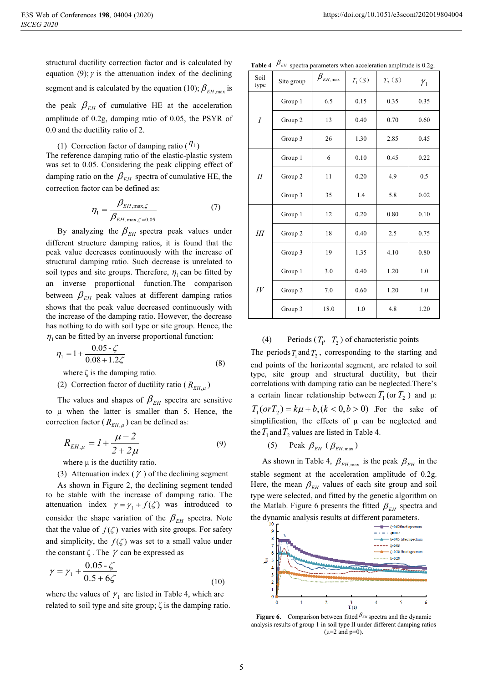structural ductility correction factor and is calculated by equation (9);  $\gamma$  is the attenuation index of the declining segment and is calculated by the equation (10);  $\beta_{\text{EH,max}}$  is the peak  $\beta_{EH}$  of cumulative HE at the acceleration amplitude of 0.2g, damping ratio of 0.05, the PSYR of 0.0 and the ductility ratio of 2.

(1) Correction factor of damping ratio  $(\eta_1)$ 

The reference damping ratio of the elastic-plastic system was set to 0.05. Considering the peak clipping effect of damping ratio on the  $\beta_{EH}$  spectra of cumulative HE, the correction factor can be defined as:

$$
\eta_1 = \frac{\beta_{EH,\max,\zeta}}{\beta_{EH,\max,\zeta=0.05}}
$$
(7)

By analyzing the  $\beta_{EH}$  spectra peak values under different structure damping ratios, it is found that the peak value decreases continuously with the increase of structural damping ratio. Such decrease is unrelated to soil types and site groups. Therefore,  $\eta_1$  can be fitted by an inverse proportional function.The comparison between  $\beta_{EH}$  peak values at different damping ratios shows that the peak value decreased continuously with the increase of the damping ratio. However, the decrease has nothing to do with soil type or site group. Hence, the  $\eta_1$  can be fitted by an inverse proportional function:

$$
\eta_1 = 1 + \frac{0.05 - \zeta}{0.08 + 1.2\zeta}
$$
\n(8)

where  $\zeta$  is the damping ratio.

(2) Correction factor of ductility ratio ( $R_{EH,\mu}$ )

The values and shapes of  $\beta_{EH}$  spectra are sensitive to μ when the latter is smaller than 5. Hence, the correction factor ( $R_{EH,\mu}$ ) can be defined as:

$$
R_{EH,\mu} = I + \frac{\mu - 2}{2 + 2\mu} \tag{9}
$$

where  $\mu$  is the ductility ratio.

(3) Attenuation index  $(\gamma)$  of the declining segment

As shown in Figure 2, the declining segment tended to be stable with the increase of damping ratio. The attenuation index  $\gamma = \gamma_1 + f(\zeta)$  was introduced to consider the shape variation of the  $\beta_{EH}$  spectra. Note that the value of  $f(\zeta)$  varies with site groups. For safety and simplicity, the  $f(\zeta)$  was set to a small value under the constant  $\zeta$ . The  $\gamma$  can be expressed as

$$
\gamma = \gamma_1 + \frac{0.05 - \zeta}{0.5 + 6\zeta}
$$
\n(10)

where the values of  $\gamma_1$  are listed in Table 4, which are related to soil type and site group; ζ is the damping ratio.

**Table 4**  $\beta_{EH}$  spectra parameters when acceleration amplitude is 0.2g.

| Soil<br>type       | Site group | $\beta_{\rm \scriptscriptstyle EH,max}$ | $T_1(S)$ | $T_2(S)$ | $\gamma_{1}$ |
|--------------------|------------|-----------------------------------------|----------|----------|--------------|
|                    | Group 1    | 6.5                                     | 0.15     | 0.35     | 0.35         |
| $\cal I$           | Group 2    | 13                                      | 0.40     | 0.70     | 0.60         |
|                    | Group 3    | 26                                      | 1.30     | 2.85     | 0.45         |
| $I\!I$             | Group 1    | 6                                       | 0.10     | 0.45     | 0.22         |
|                    | Group 2    | 11                                      | 0.20     | 4.9      | 0.5          |
|                    | Group 3    | 35                                      | 1.4      | 5.8      | 0.02         |
| III                | Group 1    | 12                                      | 0.20     | 0.80     | 0.10         |
|                    | Group 2    | 18                                      | 0.40     | 2.5      | 0.75         |
|                    | Group 3    | 19                                      | 1.35     | 4.10     | 0.80         |
| $I\hspace{-.1em}V$ | Group 1    | 3.0                                     | 0.40     | 1.20     | 1.0          |
|                    | Group 2    | 7.0                                     | 0.60     | 1.20     | 1.0          |
|                    | Group 3    | 18.0                                    | 1.0      | 4.8      | 1.20         |

#### (4) Periods  $(T_1, T_2)$  of characteristic points

The periods  $T_1$  and  $T_2$ , corresponding to the starting and end points of the horizontal segment, are related to soil type, site group and structural ductility, but their correlations with damping ratio can be neglected.There's a certain linear relationship between  $T_1$  (or  $T_2$ ) and  $\mu$ :  $T_1 (or T_2) = k\mu + b, (k < 0, b > 0)$  For the sake of simplification, the effects of  $\mu$  can be neglected and the  $T_1$  and  $T_2$  values are listed in Table 4.

(5) Peak  $\beta_{EH}$  ( $\beta_{EH, max}$ )

As shown in Table 4,  $\beta_{EH, \text{max}}$  is the peak  $\beta_{EH}$  in the stable segment at the acceleration amplitude of 0.2g. Here, the mean  $\beta_{EH}$  values of each site group and soil type were selected, and fitted by the genetic algorithm on the Matlab. Figure 6 presents the fitted  $\beta_{EH}$  spectra and the dynamic analysis results at different parameters.



**Figure 6.** Comparison between fitted  $\beta_{EH}$  spectra and the dynamic rationalized and the dynamic rational spectral dependence of group 1 in soil type II under different damning ration analysis results of group 1 in soil type II under different damping ratios  $(\mu=2 \text{ and } p=0).$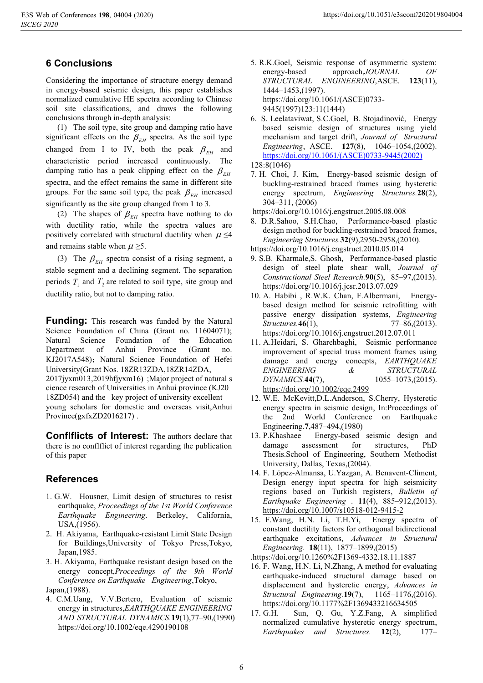# **6 Conclusions**

Considering the importance of structure energy demand in energy-based seismic design, this paper establishes normalized cumulative HE spectra according to Chinese soil site classifications, and draws the following conclusions through in-depth analysis:

(1) The soil type, site group and damping ratio have significant effects on the  $\beta_{EH}$  spectra. As the soil type changed from I to IV, both the peak  $\beta_{EH}$  and characteristic period increased continuously. The damping ratio has a peak clipping effect on the  $\beta_{EH}$ spectra, and the effect remains the same in different site groups. For the same soil type, the peak  $\beta_{EH}$  increased significantly as the site group changed from 1 to 3.

(2) The shapes of  $\beta_{EH}$  spectra have nothing to do with ductility ratio, while the spectra values are positively correlated with structural ductility when  $\mu \leq 4$ and remains stable when  $\mu \geq 5$ .

(3) The  $\beta_{EH}$  spectra consist of a rising segment, a stable segment and a declining segment. The separation periods  $T_1$  and  $T_2$  are related to soil type, site group and ductility ratio, but not to damping ratio.

**Funding:** This research was funded by the Natural Science Foundation of China (Grant no. 11604071); Natural Science Foundation of the Education Department of Anhui Province (Grant no. KJ2017A548); Natural Science Foundation of Hefei University(Grant Nos. 18ZR13ZDA,18ZR14ZDA, 2017jyxm013,2019hfjyxm16) ;Major project of natural s cience research of Universities in Anhui province (KJ20 18ZD054) and the key project of university excellent young scholars for domestic and overseas visit,Anhui Province(gxfxZD2016217).

**Confiflicts of Interest:** The authors declare that there is no conflflict of interest regarding the publication of this paper

# **References**

- 1. G.W. Housner, Limit design of structures to resist earthquake, *Proceedings of the 1st World Conference Earthquake Engineering*. Berkeley, California, USA,(1956).
- 2. H. Akiyama, Earthquake-resistant Limit State Design for Buildings,University of Tokyo Press,Tokyo, Japan,1985.
- 3. H. Akiyama, Earthquake resistant design based on the energy concept,*Proceedings of the 9th World Conference on Earthquake Engineering*,Tokyo, Japan,(1988).
- 4. C.M.Uang, V.V.Bertero, Evaluation of seismic energy in structures,*EARTHQUAKE ENGINEERING AND STRUCTURAL DYNAMICS.***19**(1),77–90,(1990) https://doi.org/10.1002/eqe.4290190108
- 5. R.K.Goel, Seismic response of asymmetric system: energy-based approach,*JOURNAL OF STRUCTURAL ENGINEERING*,ASCE. **123**(11), 1444–1453,(1997). https://doi.org/10.1061/(ASCE)0733- 9445(1997)123:11(1444)
- 6. S. Leelataviwat, S.C.Goel, B. Stojadinović, Energy based seismic design of structures using yield mechanism and target drift, *Journal of Structural Engineering*, ASCE. **127**(8), 1046–1054,(2002). https://doi.org/10.1061/(ASCE)0733-9445(2002)

- 7. H. Choi, J. Kim, Energy-based seismic design of buckling-restrained braced frames using hysteretic energy spectrum, *Engineering Structures.***28**(2), 304–311, (2006)
- https://doi.org/10.1016/j.engstruct.2005.08.008
- 8. D.R.Sahoo, S.H.Chao, Performance-based plastic design method for buckling-restrained braced frames, *Engineering Structures.***32**(9),2950-2958,(2010).
- https://doi.org/10.1016/j.engstruct.2010.05.014
- 9. S.B. Kharmale,S. Ghosh, Performance-based plastic design of steel plate shear wall, *Journal of Constructional Steel Research.***90**(5), 85–97,(2013). https://doi.org/10.1016/j.jcsr.2013.07.029
- 10. A. Habibi , R.W.K. Chan, F.Albermani, Energybased design method for seismic retrofitting with passive energy dissipation systems, *Engineering Structures.***46**(1), 77–86,(2013). https://doi.org/10.1016/j.engstruct.2012.07.011
- 11. A.Heidari, S. Gharehbaghi, Seismic performance improvement of special truss moment frames using damage and energy concepts, *EARTHQUAKE ENGINEERING & STRUCTURAL DYNAMICS.***44**(7), 1055–1073,(2015). https://doi.org/10.1002/eqe.2499
- 12. W.E. McKevitt,D.L.Anderson, S.Cherry, Hysteretic energy spectra in seismic design, In:Proceedings of the 2nd World Conference on Earthquake
- Engineering.7,487–494,(1980)<br>13. P.Khashaee Energy-based Energy-based seismic design and damage assessment for structures, PhD Thesis.School of Engineering, Southern Methodist University, Dallas, Texas,(2004).
- 14. F. López-Almansa, U.Yazgan, A. Benavent-Climent, Design energy input spectra for high seismicity regions based on Turkish registers, *Bulletin of Earthquake Engineering* . **11**(4), 885–912,(2013). https://doi.org/10.1007/s10518-012-9415-2
- 15. F.Wang, H.N. Li, T.H.Yi, Energy spectra of constant ductility factors for orthogonal bidirectional earthquake excitations, *Advances in Structural Engineering.* **18**(11), 1877–1899,(2015)
- .https://doi.org/10.1260%2F1369-4332.18.11.1887
- 16. F. Wang, H.N. Li, N.Zhang, A method for evaluating earthquake-induced structural damage based on displacement and hysteretic energy, *Advances in Structural Engineering.***19**(7), 1165–1176,(2016). https://doi.org/10.1177%2F1369433216634505
- 17. G.H. Sun, Q. Gu, Y.Z.Fang, A simplified normalized cumulative hysteretic energy spectrum, *Earthquakes and Structures.* **12**(2), 177–

<sup>128:8(1046)</sup>